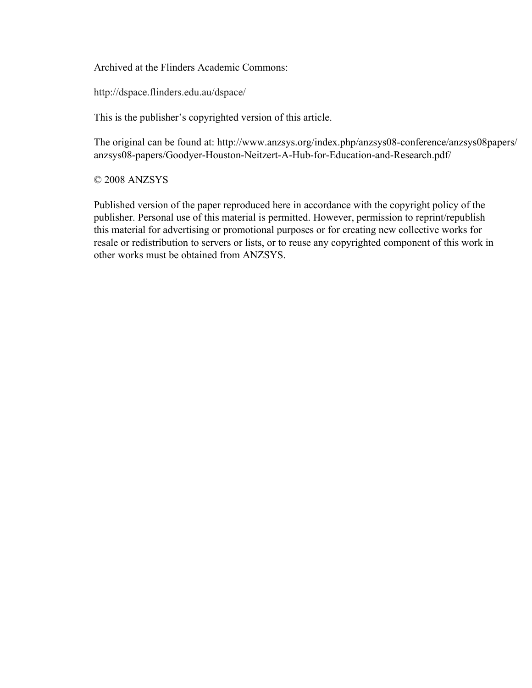Archived at the Flinders Academic Commons:

http://dspace.flinders.edu.au/dspace/

This is the publisher's copyrighted version of this article.

The original can be found at: http://www.anzsys.org/index.php/anzsys08-conference/anzsys08papers/ anzsys08-papers/Goodyer-Houston-Neitzert-A-Hub-for-Education-and-Research.pdf/

© 2008 ANZSYS

Published version of the paper reproduced here in accordance with the copyright policy of the publisher. Personal use of this material is permitted. However, permission to reprint/republish this material for advertising or promotional purposes or for creating new collective works for resale or redistribution to servers or lists, or to reuse any copyrighted component of this work in other works must be obtained from ANZSYS.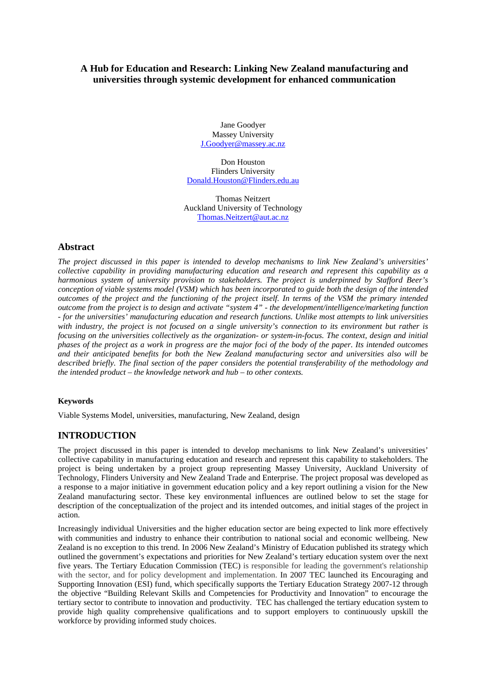## **A Hub for Education and Research: Linking New Zealand manufacturing and universities through systemic development for enhanced communication**

Jane Goodyer Massey University J.Goodyer@massey.ac.nz

Don Houston Flinders University Donald.Houston@Flinders.edu.au

Thomas Neitzert Auckland University of Technology Thomas.Neitzert@aut.ac.nz

## **Abstract**

*The project discussed in this paper is intended to develop mechanisms to link New Zealand's universities' collective capability in providing manufacturing education and research and represent this capability as a harmonious system of university provision to stakeholders. The project is underpinned by Stafford Beer's conception of viable systems model (VSM) which has been incorporated to guide both the design of the intended outcomes of the project and the functioning of the project itself. In terms of the VSM the primary intended outcome from the project is to design and activate "system 4" - the development/intelligence/marketing function - for the universities' manufacturing education and research functions. Unlike most attempts to link universities*  with industry, the project is not focused on a single university's connection to its environment but rather is *focusing on the universities collectively as the organization- or system-in-focus. The context, design and initial phases of the project as a work in progress are the major foci of the body of the paper. Its intended outcomes and their anticipated benefits for both the New Zealand manufacturing sector and universities also will be described briefly. The final section of the paper considers the potential transferability of the methodology and the intended product – the knowledge network and hub – to other contexts.* 

### **Keywords**

Viable Systems Model, universities, manufacturing, New Zealand, design

# **INTRODUCTION**

The project discussed in this paper is intended to develop mechanisms to link New Zealand's universities' collective capability in manufacturing education and research and represent this capability to stakeholders. The project is being undertaken by a project group representing Massey University, Auckland University of Technology, Flinders University and New Zealand Trade and Enterprise. The project proposal was developed as a response to a major initiative in government education policy and a key report outlining a vision for the New Zealand manufacturing sector. These key environmental influences are outlined below to set the stage for description of the conceptualization of the project and its intended outcomes, and initial stages of the project in action.

Increasingly individual Universities and the higher education sector are being expected to link more effectively with communities and industry to enhance their contribution to national social and economic wellbeing. New Zealand is no exception to this trend. In 2006 New Zealand's Ministry of Education published its strategy which outlined the government's expectations and priorities for New Zealand's tertiary education system over the next five years. The Tertiary Education Commission (TEC) is responsible for leading the government's relationship with the sector, and for policy development and implementation. In 2007 TEC launched its Encouraging and Supporting Innovation (ESI) fund, which specifically supports the Tertiary Education Strategy 2007-12 through the objective "Building Relevant Skills and Competencies for Productivity and Innovation" to encourage the tertiary sector to contribute to innovation and productivity. TEC has challenged the tertiary education system to provide high quality comprehensive qualifications and to support employers to continuously upskill the workforce by providing informed study choices.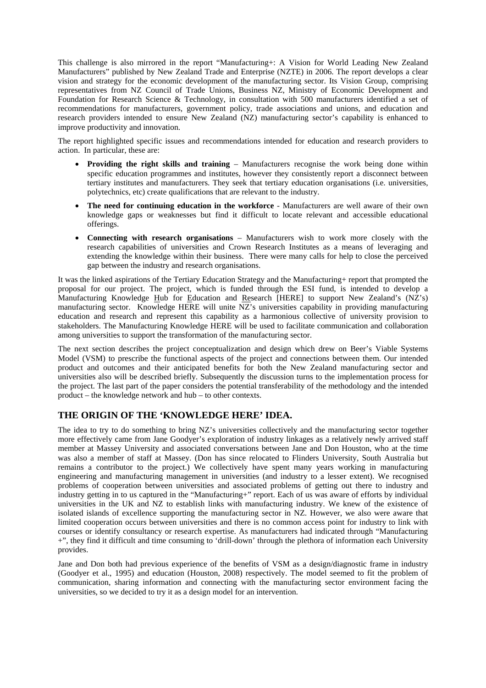This challenge is also mirrored in the report "Manufacturing+: A Vision for World Leading New Zealand Manufacturers" published by New Zealand Trade and Enterprise (NZTE) in 2006. The report develops a clear vision and strategy for the economic development of the manufacturing sector. Its Vision Group, comprising representatives from NZ Council of Trade Unions, Business NZ, Ministry of Economic Development and Foundation for Research Science & Technology, in consultation with 500 manufacturers identified a set of recommendations for manufacturers, government policy, trade associations and unions, and education and research providers intended to ensure New Zealand (NZ) manufacturing sector's capability is enhanced to improve productivity and innovation.

The report highlighted specific issues and recommendations intended for education and research providers to action. In particular, these are:

- **Providing the right skills and training** Manufacturers recognise the work being done within specific education programmes and institutes, however they consistently report a disconnect between tertiary institutes and manufacturers. They seek that tertiary education organisations (i.e. universities, polytechnics, etc) create qualifications that are relevant to the industry.
- **The need for continuing education in the workforce**  Manufacturers are well aware of their own knowledge gaps or weaknesses but find it difficult to locate relevant and accessible educational offerings.
- **Connecting with research organisations** Manufacturers wish to work more closely with the research capabilities of universities and Crown Research Institutes as a means of leveraging and extending the knowledge within their business. There were many calls for help to close the perceived gap between the industry and research organisations.

It was the linked aspirations of the Tertiary Education Strategy and the Manufacturing+ report that prompted the proposal for our project. The project, which is funded through the ESI fund, is intended to develop a Manufacturing Knowledge Hub for Education and Research [HERE] to support New Zealand's (NZ's) manufacturing sector. Knowledge HERE will unite NZ's universities capability in providing manufacturing education and research and represent this capability as a harmonious collective of university provision to stakeholders. The Manufacturing Knowledge HERE will be used to facilitate communication and collaboration among universities to support the transformation of the manufacturing sector.

The next section describes the project conceptualization and design which drew on Beer's Viable Systems Model (VSM) to prescribe the functional aspects of the project and connections between them. Our intended product and outcomes and their anticipated benefits for both the New Zealand manufacturing sector and universities also will be described briefly. Subsequently the discussion turns to the implementation process for the project. The last part of the paper considers the potential transferability of the methodology and the intended product – the knowledge network and hub – to other contexts.

# **THE ORIGIN OF THE 'KNOWLEDGE HERE' IDEA.**

The idea to try to do something to bring NZ's universities collectively and the manufacturing sector together more effectively came from Jane Goodyer's exploration of industry linkages as a relatively newly arrived staff member at Massey University and associated conversations between Jane and Don Houston, who at the time was also a member of staff at Massey. (Don has since relocated to Flinders University, South Australia but remains a contributor to the project.) We collectively have spent many years working in manufacturing engineering and manufacturing management in universities (and industry to a lesser extent). We recognised problems of cooperation between universities and associated problems of getting out there to industry and industry getting in to us captured in the "Manufacturing+" report. Each of us was aware of efforts by individual universities in the UK and NZ to establish links with manufacturing industry. We knew of the existence of isolated islands of excellence supporting the manufacturing sector in NZ. However, we also were aware that limited cooperation occurs between universities and there is no common access point for industry to link with courses or identify consultancy or research expertise. As manufacturers had indicated through "Manufacturing +", they find it difficult and time consuming to 'drill-down' through the plethora of information each University provides.

Jane and Don both had previous experience of the benefits of VSM as a design/diagnostic frame in industry (Goodyer et al., 1995) and education (Houston, 2008) respectively. The model seemed to fit the problem of communication, sharing information and connecting with the manufacturing sector environment facing the universities, so we decided to try it as a design model for an intervention.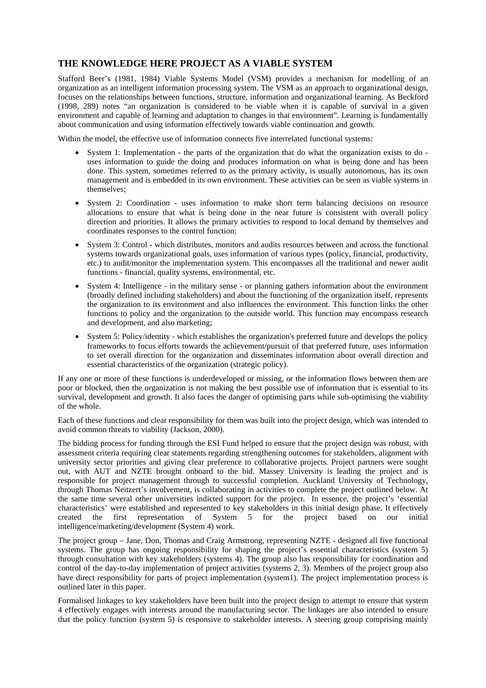# **THE KNOWLEDGE HERE PROJECT AS A VIABLE SYSTEM**

Stafford Beer's (1981, 1984) Viable Systems Model (VSM) provides a mechanism for modelling of an organization as an intelligent information processing system. The VSM as an approach to organizational design, focuses on the relationships between functions, structure, information and organizational learning. As Beckford (1998, 289) notes "an organization is considered to be viable when it is capable of survival in a given environment and capable of learning and adaptation to changes in that environment". Learning is fundamentally about communication and using information effectively towards viable continuation and growth.

Within the model, the effective use of information connects five interrelated functional systems:

- System 1: Implementation the parts of the organization that do what the organization exists to do uses information to guide the doing and produces information on what is being done and has been done. This system, sometimes referred to as the primary activity, is usually autonomous, has its own management and is embedded in its own environment. These activities can be seen as viable systems in themselves;
- System 2: Coordination uses information to make short term balancing decisions on resource allocations to ensure that what is being done in the near future is consistent with overall policy direction and priorities. It allows the primary activities to respond to local demand by themselves and coordinates responses to the control function;
- System 3: Control which distributes, monitors and audits resources between and across the functional systems towards organizational goals, uses information of various types (policy, financial, productivity, etc.) to audit/monitor the implementation system. This encompasses all the traditional and newer audit functions - financial, quality systems, environmental, etc.
- System 4: Intelligence in the military sense or planning gathers information about the environment (broadly defined including stakeholders) and about the functioning of the organization itself, represents the organization to its environment and also influences the environment. This function links the other functions to policy and the organization to the outside world. This function may encompass research and development, and also marketing;
- System 5: Policy/identity which establishes the organization's preferred future and develops the policy frameworks to focus efforts towards the achievement/pursuit of that preferred future, uses information to set overall direction for the organization and disseminates information about overall direction and essential characteristics of the organization (strategic policy).

If any one or more of these functions is underdeveloped or missing, or the information flows between them are poor or blocked, then the organization is not making the best possible use of information that is essential to its survival, development and growth. It also faces the danger of optimising parts while sub-optimising the viability of the whole.

Each of these functions and clear responsibility for them was built into the project design, which was intended to avoid common threats to viability (Jackson, 2000).

The bidding process for funding through the ESI Fund helped to ensure that the project design was robust, with assessment criteria requiring clear statements regarding strengthening outcomes for stakeholders, alignment with university sector priorities and giving clear preference to collaborative projects. Project partners were sought out, with AUT and NZTE brought onboard to the bid. Massey University is leading the project and is responsible for project management through to successful completion. Auckland University of Technology, through Thomas Neitzert's involvement, is collaborating in activities to complete the project outlined below. At the same time several other universities indicted support for the project. In essence, the project's 'essential characteristics' were established and represented to key stakeholders in this initial design phase. It effectively created the first representation of System 5 for the project based on our initial intelligence/marketing/development (System 4) work.

The project group – Jane, Don, Thomas and Craig Armstrong, representing NZTE - designed all five functional systems. The group has ongoing responsibility for shaping the project's essential characteristics (system 5) through consultation with key stakeholders (systems 4). The group also has responsibility for coordination and control of the day-to-day implementation of project activities (systems 2, 3). Members of the project group also have direct responsibility for parts of project implementation (system1). The project implementation process is outlined later in this paper.

Formalised linkages to key stakeholders have been built into the project design to attempt to ensure that system 4 effectively engages with interests around the manufacturing sector. The linkages are also intended to ensure that the policy function (system 5) is responsive to stakeholder interests. A steering group comprising mainly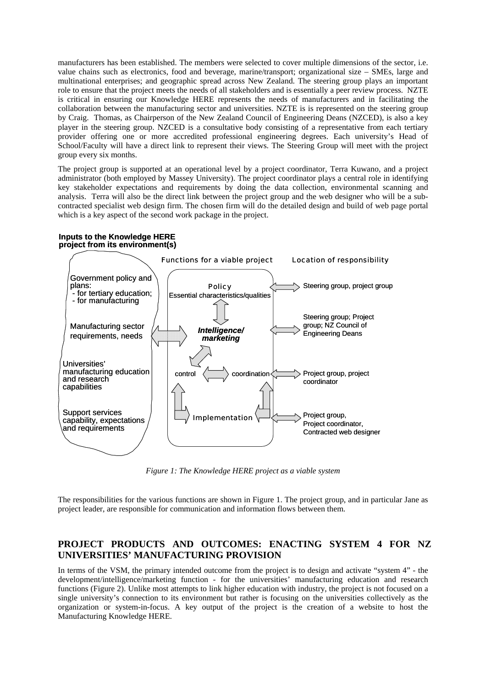manufacturers has been established. The members were selected to cover multiple dimensions of the sector, i.e. value chains such as electronics, food and beverage, marine/transport; organizational size – SMEs, large and multinational enterprises; and geographic spread across New Zealand. The steering group plays an important role to ensure that the project meets the needs of all stakeholders and is essentially a peer review process. NZTE is critical in ensuring our Knowledge HERE represents the needs of manufacturers and in facilitating the collaboration between the manufacturing sector and universities. NZTE is is represented on the steering group by Craig. Thomas, as Chairperson of the New Zealand Council of Engineering Deans (NZCED), is also a key player in the steering group. NZCED is a consultative body consisting of a representative from each tertiary provider offering one or more accredited professional engineering degrees. Each university's Head of School/Faculty will have a direct link to represent their views. The Steering Group will meet with the project group every six months.

The project group is supported at an operational level by a project coordinator, Terra Kuwano, and a project administrator (both employed by Massey University). The project coordinator plays a central role in identifying key stakeholder expectations and requirements by doing the data collection, environmental scanning and analysis. Terra will also be the direct link between the project group and the web designer who will be a subcontracted specialist web design firm. The chosen firm will do the detailed design and build of web page portal which is a key aspect of the second work package in the project.

#### **Inputs to the Knowledge HERE project from its environment(s)**



*Figure 1: The Knowledge HERE project as a viable system* 

The responsibilities for the various functions are shown in Figure 1. The project group, and in particular Jane as project leader, are responsible for communication and information flows between them.

# **PROJECT PRODUCTS AND OUTCOMES: ENACTING SYSTEM 4 FOR NZ UNIVERSITIES' MANUFACTURING PROVISION**

In terms of the VSM, the primary intended outcome from the project is to design and activate "system 4" - the development/intelligence/marketing function - for the universities' manufacturing education and research functions (Figure 2). Unlike most attempts to link higher education with industry, the project is not focused on a single university's connection to its environment but rather is focusing on the universities collectively as the organization or system-in-focus. A key output of the project is the creation of a website to host the Manufacturing Knowledge HERE.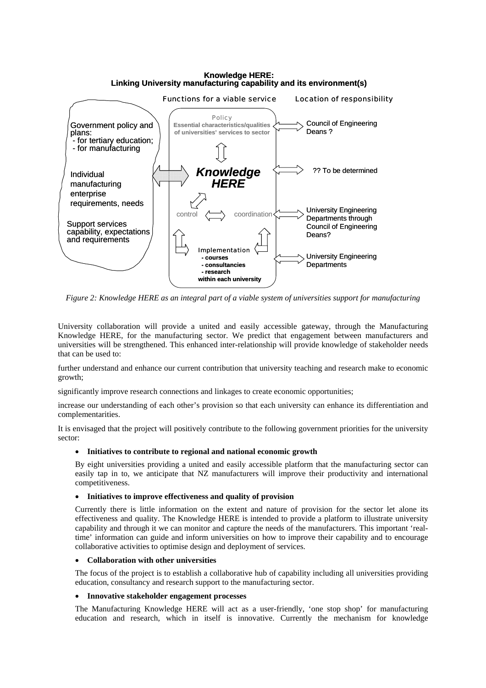#### **Knowledge HERE: Linking University manufacturing capability and its environment(s)**



*Figure 2: Knowledge HERE as an integral part of a viable system of universities support for manufacturing* 

University collaboration will provide a united and easily accessible gateway, through the Manufacturing Knowledge HERE, for the manufacturing sector. We predict that engagement between manufacturers and universities will be strengthened. This enhanced inter-relationship will provide knowledge of stakeholder needs that can be used to:

further understand and enhance our current contribution that university teaching and research make to economic growth;

significantly improve research connections and linkages to create economic opportunities;

increase our understanding of each other's provision so that each university can enhance its differentiation and complementarities.

It is envisaged that the project will positively contribute to the following government priorities for the university sector:

### • **Initiatives to contribute to regional and national economic growth**

By eight universities providing a united and easily accessible platform that the manufacturing sector can easily tap in to, we anticipate that NZ manufacturers will improve their productivity and international competitiveness.

#### • **Initiatives to improve effectiveness and quality of provision**

Currently there is little information on the extent and nature of provision for the sector let alone its effectiveness and quality. The Knowledge HERE is intended to provide a platform to illustrate university capability and through it we can monitor and capture the needs of the manufacturers. This important 'realtime' information can guide and inform universities on how to improve their capability and to encourage collaborative activities to optimise design and deployment of services.

#### • **Collaboration with other universities**

The focus of the project is to establish a collaborative hub of capability including all universities providing education, consultancy and research support to the manufacturing sector.

#### • **Innovative stakeholder engagement processes**

The Manufacturing Knowledge HERE will act as a user-friendly, 'one stop shop' for manufacturing education and research, which in itself is innovative. Currently the mechanism for knowledge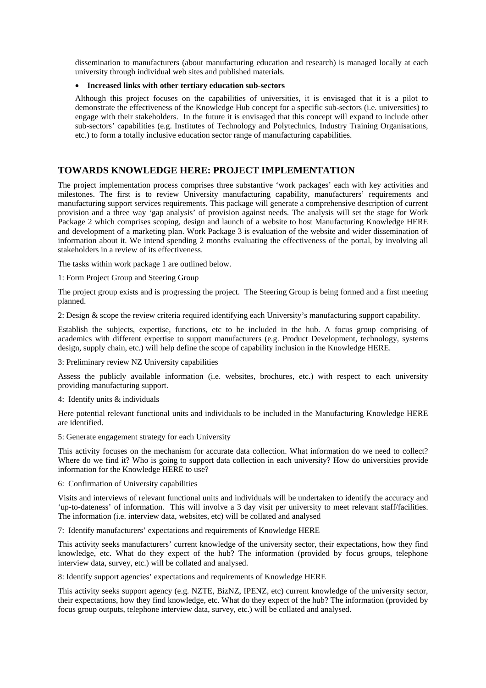dissemination to manufacturers (about manufacturing education and research) is managed locally at each university through individual web sites and published materials.

#### • **Increased links with other tertiary education sub-sectors**

Although this project focuses on the capabilities of universities, it is envisaged that it is a pilot to demonstrate the effectiveness of the Knowledge Hub concept for a specific sub-sectors (i.e. universities) to engage with their stakeholders. In the future it is envisaged that this concept will expand to include other sub-sectors' capabilities (e.g. Institutes of Technology and Polytechnics, Industry Training Organisations, etc.) to form a totally inclusive education sector range of manufacturing capabilities.

## **TOWARDS KNOWLEDGE HERE: PROJECT IMPLEMENTATION**

The project implementation process comprises three substantive 'work packages' each with key activities and milestones. The first is to review University manufacturing capability, manufacturers' requirements and manufacturing support services requirements. This package will generate a comprehensive description of current provision and a three way 'gap analysis' of provision against needs. The analysis will set the stage for Work Package 2 which comprises scoping, design and launch of a website to host Manufacturing Knowledge HERE and development of a marketing plan. Work Package 3 is evaluation of the website and wider dissemination of information about it. We intend spending 2 months evaluating the effectiveness of the portal, by involving all stakeholders in a review of its effectiveness.

The tasks within work package 1 are outlined below.

1: Form Project Group and Steering Group

The project group exists and is progressing the project. The Steering Group is being formed and a first meeting planned.

2: Design & scope the review criteria required identifying each University's manufacturing support capability.

Establish the subjects, expertise, functions, etc to be included in the hub. A focus group comprising of academics with different expertise to support manufacturers (e.g. Product Development, technology, systems design, supply chain, etc.) will help define the scope of capability inclusion in the Knowledge HERE.

3: Preliminary review NZ University capabilities

Assess the publicly available information (i.e. websites, brochures, etc.) with respect to each university providing manufacturing support.

4: Identify units & individuals

Here potential relevant functional units and individuals to be included in the Manufacturing Knowledge HERE are identified.

5: Generate engagement strategy for each University

This activity focuses on the mechanism for accurate data collection. What information do we need to collect? Where do we find it? Who is going to support data collection in each university? How do universities provide information for the Knowledge HERE to use?

6: Confirmation of University capabilities

Visits and interviews of relevant functional units and individuals will be undertaken to identify the accuracy and 'up-to-dateness' of information. This will involve a 3 day visit per university to meet relevant staff/facilities. The information (i.e. interview data, websites, etc) will be collated and analysed

7: Identify manufacturers' expectations and requirements of Knowledge HERE

This activity seeks manufacturers' current knowledge of the university sector, their expectations, how they find knowledge, etc. What do they expect of the hub? The information (provided by focus groups, telephone interview data, survey, etc.) will be collated and analysed.

8: Identify support agencies' expectations and requirements of Knowledge HERE

This activity seeks support agency (e.g. NZTE, BizNZ, IPENZ, etc) current knowledge of the university sector, their expectations, how they find knowledge, etc. What do they expect of the hub? The information (provided by focus group outputs, telephone interview data, survey, etc.) will be collated and analysed.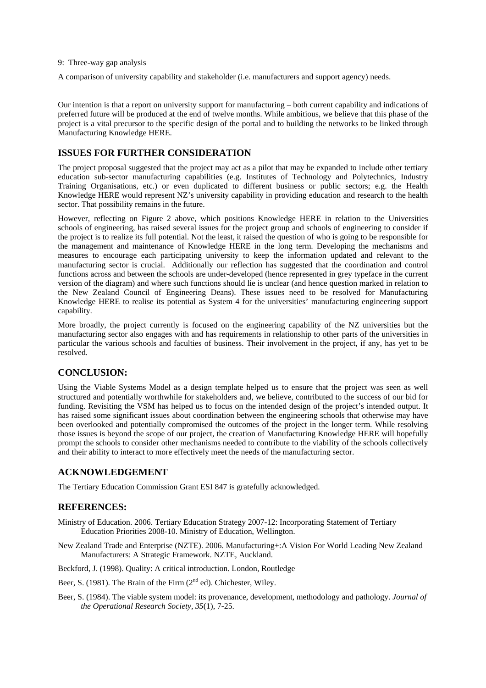9: Three-way gap analysis

A comparison of university capability and stakeholder (i.e. manufacturers and support agency) needs.

Our intention is that a report on university support for manufacturing – both current capability and indications of preferred future will be produced at the end of twelve months. While ambitious, we believe that this phase of the project is a vital precursor to the specific design of the portal and to building the networks to be linked through Manufacturing Knowledge HERE.

### **ISSUES FOR FURTHER CONSIDERATION**

The project proposal suggested that the project may act as a pilot that may be expanded to include other tertiary education sub-sector manufacturing capabilities (e.g. Institutes of Technology and Polytechnics, Industry Training Organisations, etc.) or even duplicated to different business or public sectors; e.g. the Health Knowledge HERE would represent NZ's university capability in providing education and research to the health sector. That possibility remains in the future.

However, reflecting on Figure 2 above, which positions Knowledge HERE in relation to the Universities schools of engineering, has raised several issues for the project group and schools of engineering to consider if the project is to realize its full potential. Not the least, it raised the question of who is going to be responsible for the management and maintenance of Knowledge HERE in the long term. Developing the mechanisms and measures to encourage each participating university to keep the information updated and relevant to the manufacturing sector is crucial. Additionally our reflection has suggested that the coordination and control functions across and between the schools are under-developed (hence represented in grey typeface in the current version of the diagram) and where such functions should lie is unclear (and hence question marked in relation to the New Zealand Council of Engineering Deans). These issues need to be resolved for Manufacturing Knowledge HERE to realise its potential as System 4 for the universities' manufacturing engineering support capability.

More broadly, the project currently is focused on the engineering capability of the NZ universities but the manufacturing sector also engages with and has requirements in relationship to other parts of the universities in particular the various schools and faculties of business. Their involvement in the project, if any, has yet to be resolved.

### **CONCLUSION:**

Using the Viable Systems Model as a design template helped us to ensure that the project was seen as well structured and potentially worthwhile for stakeholders and, we believe, contributed to the success of our bid for funding. Revisiting the VSM has helped us to focus on the intended design of the project's intended output. It has raised some significant issues about coordination between the engineering schools that otherwise may have been overlooked and potentially compromised the outcomes of the project in the longer term. While resolving those issues is beyond the scope of our project, the creation of Manufacturing Knowledge HERE will hopefully prompt the schools to consider other mechanisms needed to contribute to the viability of the schools collectively and their ability to interact to more effectively meet the needs of the manufacturing sector.

### **ACKNOWLEDGEMENT**

The Tertiary Education Commission Grant ESI 847 is gratefully acknowledged.

## **REFERENCES:**

- Ministry of Education. 2006. Tertiary Education Strategy 2007-12: Incorporating Statement of Tertiary Education Priorities 2008-10. Ministry of Education, Wellington.
- New Zealand Trade and Enterprise (NZTE). 2006. Manufacturing+:A Vision For World Leading New Zealand Manufacturers: A Strategic Framework. NZTE, Auckland.

Beckford, J. (1998). Quality: A critical introduction. London, Routledge

- Beer, S. (1981). The Brain of the Firm  $(2<sup>nd</sup>$  ed). Chichester, Wiley.
- Beer, S. (1984). The viable system model: its provenance, development, methodology and pathology. *Journal of the Operational Research Society, 35*(1), 7-25.